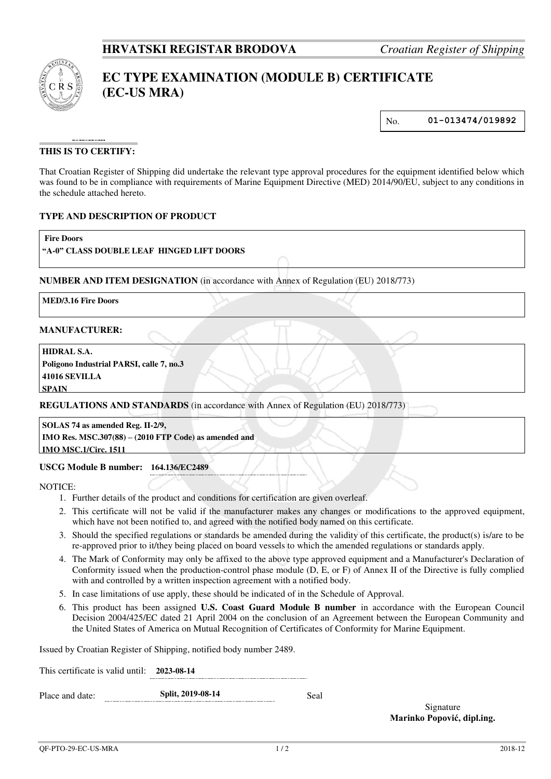

# **EC TYPE EXAMINATION (MODULE B) CERTIFICATE (EC-US MRA)**

No. **01-013474/019892**

# **THIS IS TO CERTIFY:**

That Croatian Register of Shipping did undertake the relevant type approval procedures for the equipment identified below which was found to be in compliance with requirements of Marine Equipment Directive (MED) 2014/90/EU, subject to any conditions in the schedule attached hereto.

### **TYPE AND DESCRIPTION OF PRODUCT**

| <b>Fire Doors</b><br>"A-0" CLASS DOUBLE LEAF HINGED LIFT DOORS |  |                                                                                    |  |
|----------------------------------------------------------------|--|------------------------------------------------------------------------------------|--|
|                                                                |  | NUMBER AND ITEM DESIGNATION (in accordance with Annex of Regulation (EU) 2018/773) |  |
| <b>MED/3.16 Fire Doors</b>                                     |  |                                                                                    |  |
| <b>MANUFACTURER:</b>                                           |  |                                                                                    |  |
| <b>HIDRAL S.A.</b><br>Poligono Industrial PARSI, calle 7, no.3 |  |                                                                                    |  |
| $4404$ $\ell$ cinvitt t $\lambda$                              |  |                                                                                    |  |

**41016 SEVILLA SPAIN**

**REGULATIONS AND STANDARDS** (in accordance with Annex of Regulation (EU) 2018/773)

**SOLAS 74 as amended Reg. II-2/9, IMO Res. MSC.307(88) – (2010 FTP Code) as amended and IMO MSC.1/Circ. 1511**

### **USCG Module B number: 164.136/EC2489**

NOTICE:

- 1. Further details of the product and conditions for certification are given overleaf.
- 2. This certificate will not be valid if the manufacturer makes any changes or modifications to the approved equipment, which have not been notified to, and agreed with the notified body named on this certificate.
- 3. Should the specified regulations or standards be amended during the validity of this certificate, the product(s) is/are to be re-approved prior to it/they being placed on board vessels to which the amended regulations or standards apply.
- 4. The Mark of Conformity may only be affixed to the above type approved equipment and a Manufacturer's Declaration of Conformity issued when the production-control phase module (D, E, or F) of Annex II of the Directive is fully complied with and controlled by a written inspection agreement with a notified body.
- 5. In case limitations of use apply, these should be indicated of in the Schedule of Approval.
- 6. This product has been assigned **U.S. Coast Guard Module B number** in accordance with the European Council Decision 2004/425/EC dated 21 April 2004 on the conclusion of an Agreement between the European Community and the United States of America on Mutual Recognition of Certificates of Conformity for Marine Equipment.

Issued by Croatian Register of Shipping, notified body number 2489.

This certificate is valid until: **2023-08-14** Place and date: **Split, 2019-08-14** Seal

> Signature **Marinko Popović, dipl.ing.**